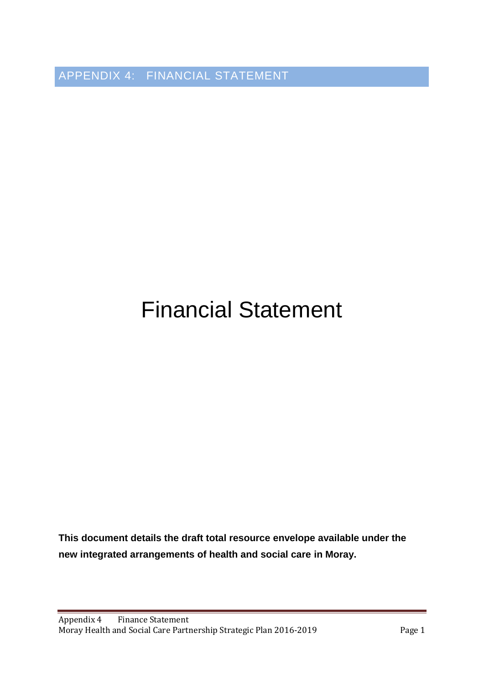APPENDIX 4: FINANCIAL STATEMENT

## Financial Statement

**This document details the draft total resource envelope available under the new integrated arrangements of health and social care in Moray.**